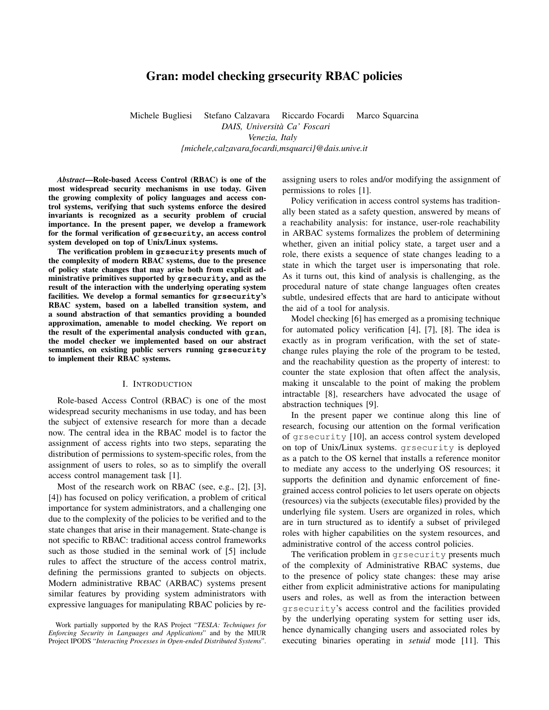# Gran: model checking grsecurity RBAC policies

Michele Bugliesi Stefano Calzavara Riccardo Focardi Marco Squarcina *DAIS, Università Ca' Foscari Venezia, Italy {michele,calzavara,focardi,msquarci}@dais.unive.it*

*Abstract*—Role-based Access Control (RBAC) is one of the most widespread security mechanisms in use today. Given the growing complexity of policy languages and access control systems, verifying that such systems enforce the desired invariants is recognized as a security problem of crucial importance. In the present paper, we develop a framework for the formal verification of **grsecurity**, an access control system developed on top of Unix/Linux systems.

The verification problem in **grsecurity** presents much of the complexity of modern RBAC systems, due to the presence of policy state changes that may arise both from explicit administrative primitives supported by **grsecurity**, and as the result of the interaction with the underlying operating system facilities. We develop a formal semantics for **grsecurity**'s RBAC system, based on a labelled transition system, and a sound abstraction of that semantics providing a bounded approximation, amenable to model checking. We report on the result of the experimental analysis conducted with **gran**, the model checker we implemented based on our abstract semantics, on existing public servers running **grsecurity** to implement their RBAC systems.

# I. INTRODUCTION

Role-based Access Control (RBAC) is one of the most widespread security mechanisms in use today, and has been the subject of extensive research for more than a decade now. The central idea in the RBAC model is to factor the assignment of access rights into two steps, separating the distribution of permissions to system-specific roles, from the assignment of users to roles, so as to simplify the overall access control management task [1].

Most of the research work on RBAC (see, e.g., [2], [3], [4]) has focused on policy verification, a problem of critical importance for system administrators, and a challenging one due to the complexity of the policies to be verified and to the state changes that arise in their management. State-change is not specific to RBAC: traditional access control frameworks such as those studied in the seminal work of [5] include rules to affect the structure of the access control matrix, defining the permissions granted to subjects on objects. Modern administrative RBAC (ARBAC) systems present similar features by providing system administrators with expressive languages for manipulating RBAC policies by reassigning users to roles and/or modifying the assignment of permissions to roles [1].

Policy verification in access control systems has traditionally been stated as a safety question, answered by means of a reachability analysis: for instance, user-role reachability in ARBAC systems formalizes the problem of determining whether, given an initial policy state, a target user and a role, there exists a sequence of state changes leading to a state in which the target user is impersonating that role. As it turns out, this kind of analysis is challenging, as the procedural nature of state change languages often creates subtle, undesired effects that are hard to anticipate without the aid of a tool for analysis.

Model checking [6] has emerged as a promising technique for automated policy verification [4], [7], [8]. The idea is exactly as in program verification, with the set of statechange rules playing the role of the program to be tested, and the reachability question as the property of interest: to counter the state explosion that often affect the analysis, making it unscalable to the point of making the problem intractable [8], researchers have advocated the usage of abstraction techniques [9].

In the present paper we continue along this line of research, focusing our attention on the formal verification of grsecurity [10], an access control system developed on top of Unix/Linux systems. grsecurity is deployed as a patch to the OS kernel that installs a reference monitor to mediate any access to the underlying OS resources; it supports the definition and dynamic enforcement of finegrained access control policies to let users operate on objects (resources) via the subjects (executable files) provided by the underlying file system. Users are organized in roles, which are in turn structured as to identify a subset of privileged roles with higher capabilities on the system resources, and administrative control of the access control policies.

The verification problem in grsecurity presents much of the complexity of Administrative RBAC systems, due to the presence of policy state changes: these may arise either from explicit administrative actions for manipulating users and roles, as well as from the interaction between grsecurity's access control and the facilities provided by the underlying operating system for setting user ids, hence dynamically changing users and associated roles by executing binaries operating in *setuid* mode [11]. This

Work partially supported by the RAS Project "*TESLA: Techniques for Enforcing Security in Languages and Applications*" and by the MIUR Project IPODS "*Interacting Processes in Open-ended Distributed Systems*".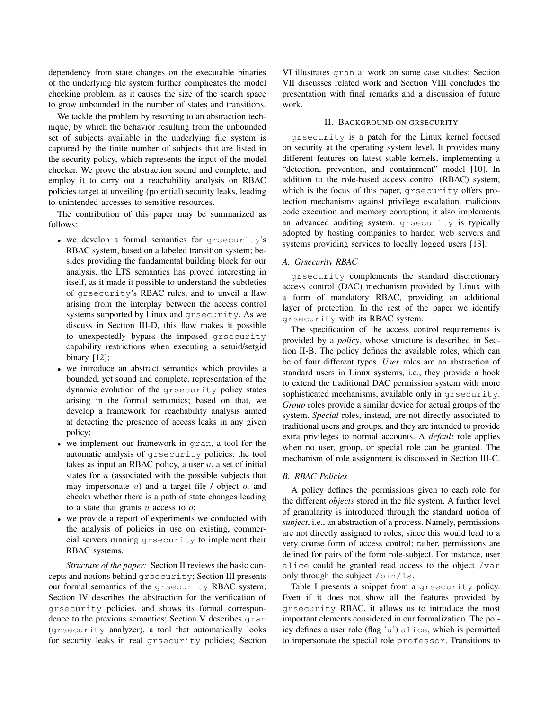dependency from state changes on the executable binaries of the underlying file system further complicates the model checking problem, as it causes the size of the search space to grow unbounded in the number of states and transitions.

We tackle the problem by resorting to an abstraction technique, by which the behavior resulting from the unbounded set of subjects available in the underlying file system is captured by the finite number of subjects that are listed in the security policy, which represents the input of the model checker. We prove the abstraction sound and complete, and employ it to carry out a reachability analysis on RBAC policies target at unveiling (potential) security leaks, leading to unintended accesses to sensitive resources.

The contribution of this paper may be summarized as follows:

- we develop a formal semantics for grsecurity's RBAC system, based on a labeled transition system; besides providing the fundamental building block for our analysis, the LTS semantics has proved interesting in itself, as it made it possible to understand the subtleties of grsecurity's RBAC rules, and to unveil a flaw arising from the interplay between the access control systems supported by Linux and grsecurity. As we discuss in Section III-D, this flaw makes it possible to unexpectedly bypass the imposed grsecurity capability restrictions when executing a setuid/setgid binary  $[12]$ ;
- we introduce an abstract semantics which provides a bounded, yet sound and complete, representation of the dynamic evolution of the grsecurity policy states arising in the formal semantics; based on that, we develop a framework for reachability analysis aimed at detecting the presence of access leaks in any given policy;
- we implement our framework in gran, a tool for the automatic analysis of grsecurity policies: the tool takes as input an RBAC policy, a user  $u$ , a set of initial states for  $u$  (associated with the possible subjects that may impersonate  $u$ ) and a target file  $\ell$  object  $o$ , and checks whether there is a path of state changes leading to a state that grants  $u$  access to  $o$ ;
- we provide a report of experiments we conducted with the analysis of policies in use on existing, commercial servers running grsecurity to implement their RBAC systems.

*Structure of the paper:* Section II reviews the basic concepts and notions behind grsecurity; Section III presents our formal semantics of the grsecurity RBAC system; Section IV describes the abstraction for the verification of grsecurity policies, and shows its formal correspondence to the previous semantics; Section V describes gran (grsecurity analyzer), a tool that automatically looks for security leaks in real grsecurity policies; Section VI illustrates gran at work on some case studies; Section VII discusses related work and Section VIII concludes the presentation with final remarks and a discussion of future work.

#### II. BACKGROUND ON GRSECURITY

grsecurity is a patch for the Linux kernel focused on security at the operating system level. It provides many different features on latest stable kernels, implementing a "detection, prevention, and containment" model [10]. In addition to the role-based access control (RBAC) system, which is the focus of this paper, grsecurity offers protection mechanisms against privilege escalation, malicious code execution and memory corruption; it also implements an advanced auditing system. grsecurity is typically adopted by hosting companies to harden web servers and systems providing services to locally logged users [13].

## *A. Grsecurity RBAC*

grsecurity complements the standard discretionary access control (DAC) mechanism provided by Linux with a form of mandatory RBAC, providing an additional layer of protection. In the rest of the paper we identify grsecurity with its RBAC system.

The specification of the access control requirements is provided by a *policy*, whose structure is described in Section II-B. The policy defines the available roles, which can be of four different types. *User* roles are an abstraction of standard users in Linux systems, i.e., they provide a hook to extend the traditional DAC permission system with more sophisticated mechanisms, available only in grsecurity. *Group* roles provide a similar device for actual groups of the system. *Special* roles, instead, are not directly associated to traditional users and groups, and they are intended to provide extra privileges to normal accounts. A *default* role applies when no user, group, or special role can be granted. The mechanism of role assignment is discussed in Section III-C.

## *B. RBAC Policies*

A policy defines the permissions given to each role for the different *objects* stored in the file system. A further level of granularity is introduced through the standard notion of *subject*, i.e., an abstraction of a process. Namely, permissions are not directly assigned to roles, since this would lead to a very coarse form of access control; rather, permissions are defined for pairs of the form role-subject. For instance, user alice could be granted read access to the object /var only through the subject /bin/ls.

Table I presents a snippet from a grsecurity policy. Even if it does not show all the features provided by grsecurity RBAC, it allows us to introduce the most important elements considered in our formalization. The policy defines a user role (flag 'u') alice, which is permitted to impersonate the special role professor. Transitions to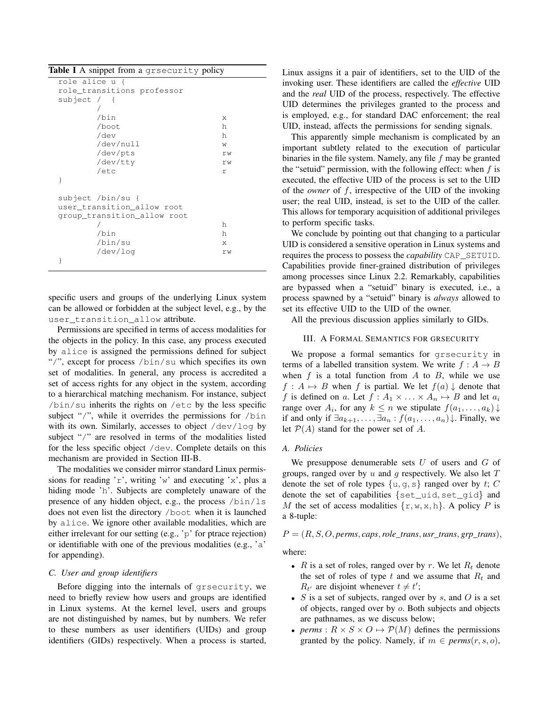| Table I A snippet from a grsecurity policy |              |  |  |  |  |  |  |
|--------------------------------------------|--------------|--|--|--|--|--|--|
| role alice u {                             |              |  |  |  |  |  |  |
| role_transitions professor                 |              |  |  |  |  |  |  |
| subject / {                                |              |  |  |  |  |  |  |
|                                            |              |  |  |  |  |  |  |
| /bin                                       | Χ            |  |  |  |  |  |  |
| /boot                                      | $\mathsf{h}$ |  |  |  |  |  |  |
| /dev                                       | h            |  |  |  |  |  |  |
| /dev/null                                  | W            |  |  |  |  |  |  |
| /dev/pts                                   | rw           |  |  |  |  |  |  |
| /dev/tty                                   | rw           |  |  |  |  |  |  |
| /etc                                       | r            |  |  |  |  |  |  |
| ł                                          |              |  |  |  |  |  |  |
|                                            |              |  |  |  |  |  |  |
| subject /bin/su {                          |              |  |  |  |  |  |  |
| user_transition_allow_root                 |              |  |  |  |  |  |  |
| group_transition_allow root                |              |  |  |  |  |  |  |
|                                            | h            |  |  |  |  |  |  |
| /bin                                       | h            |  |  |  |  |  |  |
| /bin/su                                    | X            |  |  |  |  |  |  |
| /dev/log                                   | rw           |  |  |  |  |  |  |
| ł                                          |              |  |  |  |  |  |  |
|                                            |              |  |  |  |  |  |  |

specific users and groups of the underlying Linux system can be allowed or forbidden at the subject level, e.g., by the user transition allow attribute.

Permissions are specified in terms of access modalities for the objects in the policy. In this case, any process executed by alice is assigned the permissions defined for subject "/", except for process /bin/su which specifies its own set of modalities. In general, any process is accredited a set of access rights for any object in the system, according to a hierarchical matching mechanism. For instance, subject /bin/su inherits the rights on /etc by the less specific subject "/", while it overrides the permissions for /bin with its own. Similarly, accesses to object  $/$  dev $/$ log by subject "/" are resolved in terms of the modalities listed for the less specific object /dev. Complete details on this mechanism are provided in Section III-B.

The modalities we consider mirror standard Linux permissions for reading 'r', writing 'w' and executing 'x', plus a hiding mode 'h'. Subjects are completely unaware of the presence of any hidden object, e.g., the process /bin/ls does not even list the directory /boot when it is launched by alice. We ignore other available modalities, which are either irrelevant for our setting (e.g., 'p' for ptrace rejection) or identifiable with one of the previous modalities (e.g., 'a' for appending).

# *C. User and group identifiers*

Before digging into the internals of grsecurity, we need to briefly review how users and groups are identified in Linux systems. At the kernel level, users and groups are not distinguished by names, but by numbers. We refer to these numbers as user identifiers (UIDs) and group identifiers (GIDs) respectively. When a process is started, Linux assigns it a pair of identifiers, set to the UID of the invoking user. These identifiers are called the *effective* UID and the *real* UID of the process, respectively. The effective UID determines the privileges granted to the process and is employed, e.g., for standard DAC enforcement; the real UID, instead, affects the permissions for sending signals.

This apparently simple mechanism is complicated by an important subtlety related to the execution of particular binaries in the file system. Namely, any file  $f$  may be granted the "setuid" permission, with the following effect: when  $f$  is executed, the effective UID of the process is set to the UID of the *owner* of f, irrespective of the UID of the invoking user; the real UID, instead, is set to the UID of the caller. This allows for temporary acquisition of additional privileges to perform specific tasks.

We conclude by pointing out that changing to a particular UID is considered a sensitive operation in Linux systems and requires the process to possess the *capability* CAP\_SETUID. Capabilities provide finer-grained distribution of privileges among processes since Linux 2.2. Remarkably, capabilities are bypassed when a "setuid" binary is executed, i.e., a process spawned by a "setuid" binary is *always* allowed to set its effective UID to the UID of the owner.

All the previous discussion applies similarly to GIDs.

### III. A FORMAL SEMANTICS FOR GRSECURITY

We propose a formal semantics for grsecurity in terms of a labelled transition system. We write  $f : A \rightarrow B$ when  $f$  is a total function from  $A$  to  $B$ , while we use  $f : A \mapsto B$  when f is partial. We let  $f(a) \downarrow$  denote that f is defined on a. Let  $f : A_1 \times ... \times A_n \mapsto B$  and let  $a_i$ range over  $A_i$ , for any  $k \leq n$  we stipulate  $f(a_1, \ldots, a_k) \downarrow$ if and only if  $\exists a_{k+1}, \ldots, \exists a_n : f(a_1, \ldots, a_n) \downarrow$ . Finally, we let  $P(A)$  stand for the power set of A.

## *A. Policies*

We presuppose denumerable sets  $U$  of users and  $G$  of groups, ranged over by  $u$  and  $g$  respectively. We also let  $T$ denote the set of role types  $\{u, g, s\}$  ranged over by t; C denote the set of capabilities {set\_uid, set\_gid} and M the set of access modalities  $\{r, w, x, h\}$ . A policy P is a 8-tuple:

# $P = (R, S, O, perms, caps, role. trans, usr. trans, grp. trans),$

where:

- $R$  is a set of roles, ranged over by r. We let  $R_t$  denote the set of roles of type  $t$  and we assume that  $R_t$  and  $R_{t'}$  are disjoint whenever  $t \neq t'$ ;
- S is a set of subjects, ranged over by s, and O is a set of objects, ranged over by o. Both subjects and objects are pathnames, as we discuss below;
- *perms* :  $R \times S \times O \mapsto \mathcal{P}(M)$  defines the permissions granted by the policy. Namely, if  $m \in \text{perms}(r, s, o)$ ,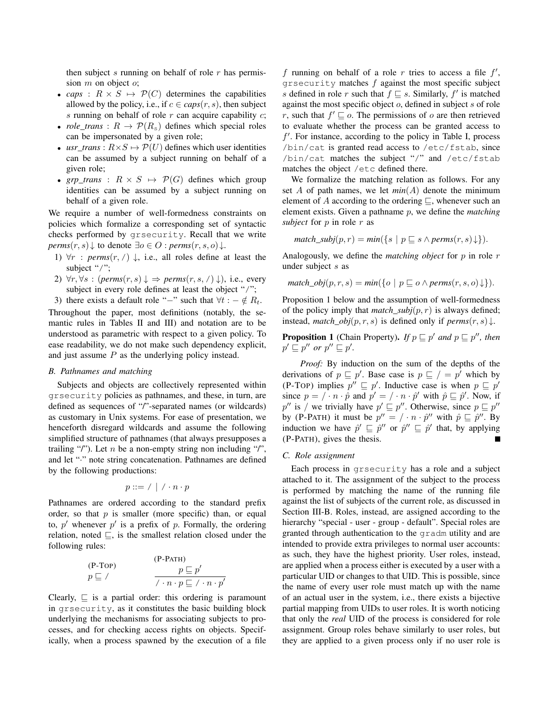then subject  $s$  running on behalf of role  $r$  has permission  $m$  on object  $o$ ;

- *caps* :  $R \times S \mapsto \mathcal{P}(C)$  determines the capabilities allowed by the policy, i.e., if  $c \in \text{caps}(r, s)$ , then subject s running on behalf of role  $r$  can acquire capability  $c$ ;
- *role\_trans* :  $R \rightarrow \mathcal{P}(R_s)$  defines which special roles can be impersonated by a given role;
- *usr\_trans* :  $R \times S \mapsto \mathcal{P}(U)$  defines which user identities can be assumed by a subject running on behalf of a given role;
- *grp* trans :  $R \times S \mapsto \mathcal{P}(G)$  defines which group identities can be assumed by a subject running on behalf of a given role.

We require a number of well-formedness constraints on policies which formalize a corresponding set of syntactic checks performed by grsecurity. Recall that we write  $perms(r, s)$  ↓ to denote  $\exists o \in O : perms(r, s, o)$  ↓.

- 1)  $\forall r$  : *perms* $(r, /)$  , i.e., all roles define at least the subject "/";
- 2)  $\forall r, \forall s : (perms(r, s) \downarrow \Rightarrow perms(r, s, /) \downarrow),$  i.e., every subject in every role defines at least the object "/"; 3) there exists a default role "−" such that  $\forall t : - \notin R_t$ .

Throughout the paper, most definitions (notably, the semantic rules in Tables II and III) and notation are to be understood as parametric with respect to a given policy. To ease readability, we do not make such dependency explicit, and just assume  $P$  as the underlying policy instead.

# *B. Pathnames and matching*

Subjects and objects are collectively represented within grsecurity policies as pathnames, and these, in turn, are defined as sequences of "/"-separated names (or wildcards) as customary in Unix systems. For ease of presentation, we henceforth disregard wildcards and assume the following simplified structure of pathnames (that always presupposes a trailing "/"). Let  $n$  be a non-empty string non including "/", and let "·" note string concatenation. Pathnames are defined by the following productions:

$$
p ::= / | / \cdot n \cdot p
$$

Pathnames are ordered according to the standard prefix order, so that  $p$  is smaller (more specific) than, or equal to,  $p'$  whenever  $p'$  is a prefix of p. Formally, the ordering relation, noted  $\sqsubseteq$ , is the smallest relation closed under the following rules:

$$
(P-TOP)
$$
  
\n
$$
p \sqsubseteq /
$$
  
\n
$$
\qquad \qquad (P-PATH)
$$
  
\n
$$
p \sqsubseteq p'
$$
  
\n
$$
\qquad \qquad \frac{p \sqsubseteq p'}{p \sqsubseteq / \cdot n \cdot p'}
$$

Clearly,  $\Box$  is a partial order: this ordering is paramount in grsecurity, as it constitutes the basic building block underlying the mechanisms for associating subjects to processes, and for checking access rights on objects. Specifically, when a process spawned by the execution of a file

f running on behalf of a role  $r$  tries to access a file  $f'$ , grsecurity matches  $f$  against the most specific subject s defined in role r such that  $f \sqsubseteq s$ . Similarly,  $f'$  is matched against the most specific object  $o$ , defined in subject  $s$  of role r, such that  $f' \sqsubseteq o$ . The permissions of o are then retrieved to evaluate whether the process can be granted access to f'. For instance, according to the policy in Table I, process /bin/cat is granted read access to /etc/fstab, since /bin/cat matches the subject "/" and /etc/fstab matches the object /etc defined there.

We formalize the matching relation as follows. For any set  $A$  of path names, we let  $min(A)$  denote the minimum element of A according to the ordering  $\Box$ , whenever such an element exists. Given a pathname p, we define the *matching subject* for *p* in role *r* as

$$
match\_subj(p, r) = min({s | p \sqsubseteq s \land perms(r, s) \downarrow}).
$$

Analogously, we define the *matching object* for p in role r under subject  $s$  as

$$
match\_obj(p, r, s) = min(\{o \mid p \sqsubseteq o \land perms(r, s, o) \downarrow \}).
$$

Proposition 1 below and the assumption of well-formedness of the policy imply that  $match\_subj(p, r)$  is always defined; instead, *match\_obj*(p, r, s) is defined only if  $perms(r, s) \downarrow$ .

**Proposition 1** (Chain Property). If  $p \sqsubseteq p'$  and  $p \sqsubseteq p''$ , then  $p' \sqsubseteq p''$  or  $p'' \sqsubseteq p'$ .

*Proof:* By induction on the sum of the depths of the derivations of  $p \subseteq p'$ . Base case is  $p \subseteq / = p'$  which by (P-TOP) implies  $p'' \sqsubseteq p'$ . Inductive case is when  $p \sqsubseteq p'$ since  $p = / \cdot n \cdot \hat{p}$  and  $p' = / \cdot n \cdot \hat{p}'$  with  $\hat{p} \sqsubseteq \hat{p}'$ . Now, if  $p''$  is / we trivially have  $p' \sqsubseteq p''$ . Otherwise, since  $p \sqsubseteq p''$ by (P-PATH) it must be  $p'' = / \cdot n \cdot \hat{p}''$  with  $\hat{p} \sqsubseteq \hat{p}''$ . By induction we have  $\hat{p}' \sqsubseteq \hat{p}''$  or  $\hat{p}'' \sqsubseteq \hat{p}'$  that, by applying (P-PATH), gives the thesis.

#### *C. Role assignment*

Each process in grsecurity has a role and a subject attached to it. The assignment of the subject to the process is performed by matching the name of the running file against the list of subjects of the current role, as discussed in Section III-B. Roles, instead, are assigned according to the hierarchy "special - user - group - default". Special roles are granted through authentication to the gradm utility and are intended to provide extra privileges to normal user accounts: as such, they have the highest priority. User roles, instead, are applied when a process either is executed by a user with a particular UID or changes to that UID. This is possible, since the name of every user role must match up with the name of an actual user in the system, i.e., there exists a bijective partial mapping from UIDs to user roles. It is worth noticing that only the *real* UID of the process is considered for role assignment. Group roles behave similarly to user roles, but they are applied to a given process only if no user role is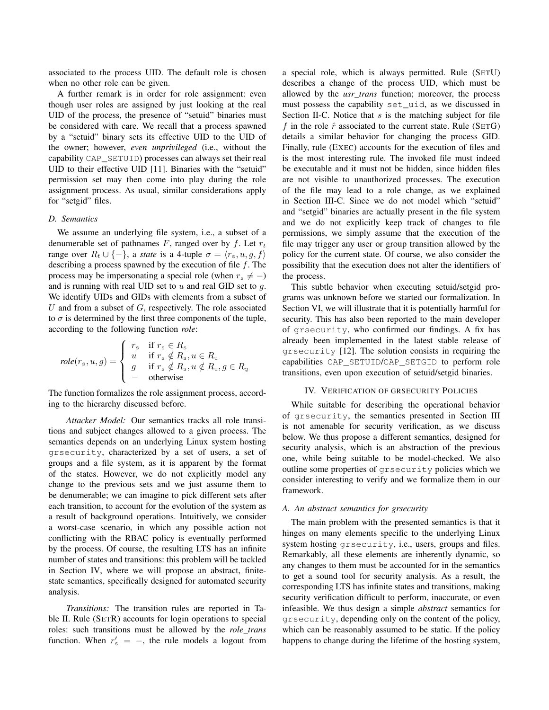associated to the process UID. The default role is chosen when no other role can be given.

A further remark is in order for role assignment: even though user roles are assigned by just looking at the real UID of the process, the presence of "setuid" binaries must be considered with care. We recall that a process spawned by a "setuid" binary sets its effective UID to the UID of the owner; however, *even unprivileged* (i.e., without the capability CAP\_SETUID) processes can always set their real UID to their effective UID [11]. Binaries with the "setuid" permission set may then come into play during the role assignment process. As usual, similar considerations apply for "setgid" files.

#### *D. Semantics*

We assume an underlying file system, i.e., a subset of a denumerable set of pathnames  $F$ , ranged over by f. Let  $r_t$ range over  $R_t \cup \{-\}$ , a *state* is a 4-tuple  $\sigma = \langle r_s, u, g, f \rangle$ describing a process spawned by the execution of file  $f$ . The process may be impersonating a special role (when  $r_s \neq -$ ) and is running with real UID set to  $u$  and real GID set to  $g$ . We identify UIDs and GIDs with elements from a subset of U and from a subset of  $G$ , respectively. The role associated to  $\sigma$  is determined by the first three components of the tuple, according to the following function *role*:

$$
role(r_s, u, g) = \begin{cases} r_s & \text{if } r_s \in R_s \\ u & \text{if } r_s \notin R_s, u \in R_u \\ g & \text{if } r_s \notin R_s, u \notin R_u, g \in R_g \\ - & \text{otherwise} \end{cases}
$$

The function formalizes the role assignment process, according to the hierarchy discussed before.

*Attacker Model:* Our semantics tracks all role transitions and subject changes allowed to a given process. The semantics depends on an underlying Linux system hosting grsecurity, characterized by a set of users, a set of groups and a file system, as it is apparent by the format of the states. However, we do not explicitly model any change to the previous sets and we just assume them to be denumerable; we can imagine to pick different sets after each transition, to account for the evolution of the system as a result of background operations. Intuitively, we consider a worst-case scenario, in which any possible action not conflicting with the RBAC policy is eventually performed by the process. Of course, the resulting LTS has an infinite number of states and transitions: this problem will be tackled in Section IV, where we will propose an abstract, finitestate semantics, specifically designed for automated security analysis.

*Transitions:* The transition rules are reported in Table II. Rule (SETR) accounts for login operations to special roles: such transitions must be allowed by the *role\_trans* function. When  $r'_{s} = -$ , the rule models a logout from a special role, which is always permitted. Rule (SETU) describes a change of the process UID, which must be allowed by the *usr\_trans* function; moreover, the process must possess the capability set\_uid, as we discussed in Section II-C. Notice that  $s$  is the matching subject for file f in the role  $\hat{r}$  associated to the current state. Rule (SETG) details a similar behavior for changing the process GID. Finally, rule (EXEC) accounts for the execution of files and is the most interesting rule. The invoked file must indeed be executable and it must not be hidden, since hidden files are not visible to unauthorized processes. The execution of the file may lead to a role change, as we explained in Section III-C. Since we do not model which "setuid" and "setgid" binaries are actually present in the file system and we do not explicitly keep track of changes to file permissions, we simply assume that the execution of the file may trigger any user or group transition allowed by the policy for the current state. Of course, we also consider the possibility that the execution does not alter the identifiers of the process.

This subtle behavior when executing setuid/setgid programs was unknown before we started our formalization. In Section VI, we will illustrate that it is potentially harmful for security. This has also been reported to the main developer of grsecurity, who confirmed our findings. A fix has already been implemented in the latest stable release of grsecurity [12]. The solution consists in requiring the capabilities CAP\_SETUID/CAP\_SETGID to perform role transitions, even upon execution of setuid/setgid binaries.

## IV. VERIFICATION OF GRSECURITY POLICIES

While suitable for describing the operational behavior of grsecurity, the semantics presented in Section III is not amenable for security verification, as we discuss below. We thus propose a different semantics, designed for security analysis, which is an abstraction of the previous one, while being suitable to be model-checked. We also outline some properties of grsecurity policies which we consider interesting to verify and we formalize them in our framework.

#### *A. An abstract semantics for grsecurity*

The main problem with the presented semantics is that it hinges on many elements specific to the underlying Linux system hosting grsecurity, i.e., users, groups and files. Remarkably, all these elements are inherently dynamic, so any changes to them must be accounted for in the semantics to get a sound tool for security analysis. As a result, the corresponding LTS has infinite states and transitions, making security verification difficult to perform, inaccurate, or even infeasible. We thus design a simple *abstract* semantics for grsecurity, depending only on the content of the policy, which can be reasonably assumed to be static. If the policy happens to change during the lifetime of the hosting system,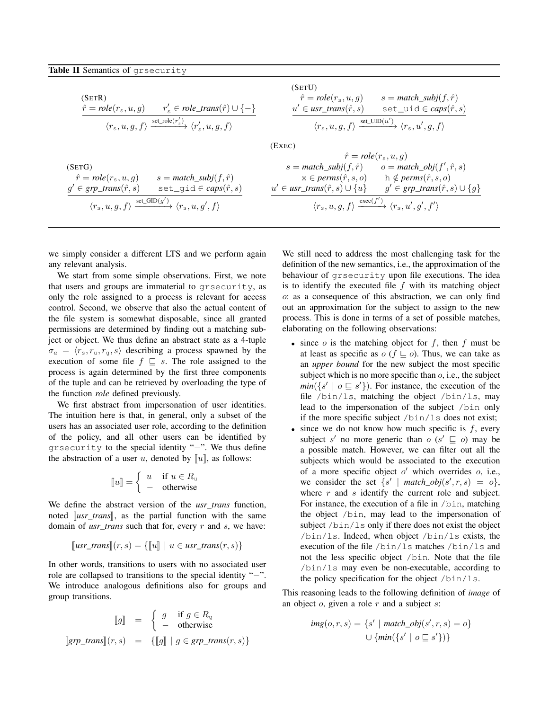(SETR)

\n
$$
\hat{r} = role(r_s, u, g)
$$
\n
$$
\hat{r} = role(r_s, u, g)
$$
\n
$$
\langle r_s, u, g, f \rangle \xrightarrow{\text{set\_role}(r'_s)} \langle r'_s, u, g, f \rangle
$$
\n(EXEC)

\n
$$
\hat{r} = role(r_s, u, g)
$$
\n
$$
\langle r_s, u, g, f \rangle \xrightarrow{\text{set\_role}(r'_s)} \langle r'_s, u, g, f \rangle
$$
\n(EXEC)

\n
$$
\hat{r} = role(r_s, u, g)
$$
\n
$$
\hat{r} = role(r_s, u, g)
$$
\n
$$
\hat{r} = role(r_s, u, g)
$$
\n
$$
\hat{r} = role(r_s, u, g)
$$
\n
$$
\hat{r} = role(r_s, u, g)
$$
\n
$$
\hat{r} = role(r_s, u, g)
$$
\n
$$
\hat{r} = role(r_s, u, g)
$$
\n
$$
\hat{r} = role(r_s, u, g)
$$
\n
$$
\hat{r} = role(r_s, u, g)
$$
\n
$$
\hat{r} = role(r_s, u, g)
$$
\n
$$
\hat{r} = role(r_s, u, g)
$$
\n
$$
\hat{r} = role(r_s, u, g)
$$
\n
$$
\hat{r} = role(r_s, u, g)
$$
\n
$$
\hat{r} = role(r_s, u, g)
$$
\n
$$
\hat{r} = role(r_s, u, g)
$$
\n
$$
\hat{r} = role(r_s, u, g)
$$
\n
$$
\hat{r} = role(r_s, u, g)
$$
\n
$$
\hat{r} = role(r_s, u, g)
$$
\n
$$
\hat{r} = role(r_s, u, g)
$$
\n
$$
\hat{r} = role(r_s, u, g)
$$
\n
$$
\hat{r} = role(r_s, u, g)
$$
\n
$$
\hat{r} = role(r_s, u, g)
$$
\n
$$
\hat{r} = role(r_s, u, g)
$$
\n
$$
\hat{r} = role(r_s, u, g)
$$
\n
$$
\hat{r} = role(r_s, u, g)
$$
\n
$$
\hat{r} = role(r_s, u, g)
$$
\n
$$
\hat{r
$$

 $($ SETI)

we simply consider a different LTS and we perform again any relevant analysis.

We start from some simple observations. First, we note that users and groups are immaterial to grsecurity, as only the role assigned to a process is relevant for access control. Second, we observe that also the actual content of the file system is somewhat disposable, since all granted permissions are determined by finding out a matching subject or object. We thus define an abstract state as a 4-tuple  $\sigma_a = \langle r_s, r_u, r_\sigma, s \rangle$  describing a process spawned by the execution of some file  $f \subseteq s$ . The role assigned to the process is again determined by the first three components of the tuple and can be retrieved by overloading the type of the function *role* defined previously.

We first abstract from impersonation of user identities. The intuition here is that, in general, only a subset of the users has an associated user role, according to the definition of the policy, and all other users can be identified by grsecurity to the special identity "−". We thus define the abstraction of a user u, denoted by  $\llbracket u \rrbracket$ , as follows:

$$
\llbracket u \rrbracket = \left\{ \begin{array}{ll} u & \text{if } u \in R_u \\ - & \text{otherwise} \end{array} \right.
$$

We define the abstract version of the *usr* trans function, noted [*usr trans*], as the partial function with the same domain of *usr\_trans* such that for, every r and s, we have:

$$
[usr\_trans](r,s) = \{ [ [u] \mid u \in usr\_trans(r,s) \}
$$

In other words, transitions to users with no associated user role are collapsed to transitions to the special identity "−". We introduce analogous definitions also for groups and group transitions.

$$
\begin{array}{rcl}\n\llbracket g \rrbracket & = & \left\{ \begin{array}{rcl}\ng & \text{if } g \in R_g \\
-\text{otherwise}\n\end{array}\right. \\
\llbracket \text{grp\_trans} \rrbracket(r, s) & = & \{\llbracket g \rrbracket \mid g \in \text{grp\_trans}(r, s)\}\n\end{array}
$$

We still need to address the most challenging task for the definition of the new semantics, i.e., the approximation of the behaviour of grsecurity upon file executions. The idea is to identify the executed file  $f$  with its matching object o: as a consequence of this abstraction, we can only find out an approximation for the subject to assign to the new process. This is done in terms of a set of possible matches, elaborating on the following observations:

- since  $o$  is the matching object for f, then f must be at least as specific as  $o$  ( $f \sqsubseteq o$ ). Thus, we can take as an *upper bound* for the new subject the most specific subject which is no more specific than  $o$ , i.e., the subject  $min({s' | o \sqsubseteq s'}).$  For instance, the execution of the file  $/bin/ls$ , matching the object  $/bin/ls$ , may lead to the impersonation of the subject /bin only if the more specific subject /bin/ls does not exist;
- since we do not know how much specific is  $f$ , every subject s' no more generic than  $o$  (s'  $\sqsubseteq$  o) may be a possible match. However, we can filter out all the subjects which would be associated to the execution of a more specific object  $o'$  which overrides  $o$ , i.e., we consider the set  $\{s' \mid match\_obj(s', r, s) = o\},$ where  $r$  and  $s$  identify the current role and subject. For instance, the execution of a file in /bin, matching the object /bin, may lead to the impersonation of subject /bin/ls only if there does not exist the object /bin/ls. Indeed, when object /bin/ls exists, the execution of the file /bin/ls matches /bin/ls and not the less specific object /bin. Note that the file /bin/ls may even be non-executable, according to the policy specification for the object  $/bin/1s$ .

This reasoning leads to the following definition of *image* of an object  $o$ , given a role  $r$  and a subject  $s$ :

$$
img(o, r, s) = \{s' \mid match\_obj(s', r, s) = o\}
$$

$$
\cup \{min(\{s' \mid o \sqsubseteq s'\})\}
$$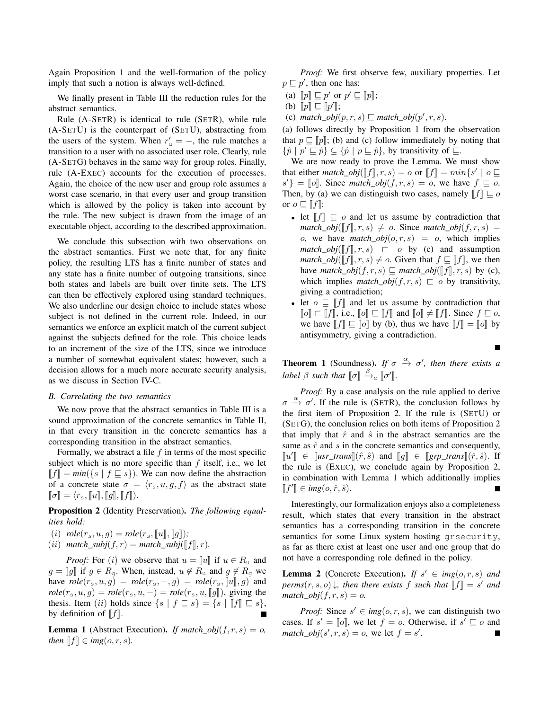Again Proposition 1 and the well-formation of the policy imply that such a notion is always well-defined.

We finally present in Table III the reduction rules for the abstract semantics.

Rule (A-SETR) is identical to rule (SETR), while rule (A-SETU) is the counterpart of (SETU), abstracting from the users of the system. When  $r'_u = -$ , the rule matches a transition to a user with no associated user role. Clearly, rule (A-SETG) behaves in the same way for group roles. Finally, rule (A-EXEC) accounts for the execution of processes. Again, the choice of the new user and group role assumes a worst case scenario, in that every user and group transition which is allowed by the policy is taken into account by the rule. The new subject is drawn from the image of an executable object, according to the described approximation.

We conclude this subsection with two observations on the abstract semantics. First we note that, for any finite policy, the resulting LTS has a finite number of states and any state has a finite number of outgoing transitions, since both states and labels are built over finite sets. The LTS can then be effectively explored using standard techniques. We also underline our design choice to include states whose subject is not defined in the current role. Indeed, in our semantics we enforce an explicit match of the current subject against the subjects defined for the role. This choice leads to an increment of the size of the LTS, since we introduce a number of somewhat equivalent states; however, such a decision allows for a much more accurate security analysis, as we discuss in Section IV-C.

#### *B. Correlating the two semantics*

We now prove that the abstract semantics in Table III is a sound approximation of the concrete semantics in Table II, in that every transition in the concrete semantics has a corresponding transition in the abstract semantics.

Formally, we abstract a file  $f$  in terms of the most specific subject which is no more specific than  $f$  itself, i.e., we let  $\llbracket f \rrbracket = min(\{s \mid f \sqsubseteq s\}).$  We can now define the abstraction of a concrete state  $\sigma = \langle r_s, u, g, f \rangle$  as the abstract state  $[\![\sigma]\!] = \langle r_{\rm s}, [\![u]\!], [\![g]\!], [\![f]\!] \rangle.$ 

Proposition 2 (Identity Preservation). *The following equalities hold:*

- $(i)$  *role* $(r_s, u, g) =$ *role* $(r_s, \llbracket u \rrbracket, \llbracket g \rrbracket)$ *;*
- (*ii*)  $match\_subj(f, r) = match\_subj([\![f]\!], r)$ .

*Proof:* For (i) we observe that  $u = [u]$  if  $u \in R_u$  and  $g = [[g]]$  if  $g \in R_g$ . When, instead,  $u \notin R_u$  and  $g \notin R_g$  we have  $role(r_s, u, g) = role(r_s, -, g) = role(r_s, [u], g)$  and  $role(r_s, u, g) = role(r_s, u, -) = role(r_s, u, \|g\|)$ , giving the thesis. Item (ii) holds since  $\{s \mid f \sqsubseteq s\} = \{s \mid [[f]] \sqsubseteq s\},\$ by definition of  $\llbracket f \rrbracket$ .

**Lemma 1** (Abstract Execution). *If match\_obj*( $f, r, s$ ) =  $o$ , *then*  $\llbracket f \rrbracket \in img(o, r, s)$ *.* 

*Proof:* We first observe few, auxiliary properties. Let  $p \sqsubseteq p'$ , then one has:

(a) 
$$
[p] \sqsubseteq p'
$$
 or  $p' \sqsubseteq [p]$ ;  
(b)  $[p] \sqsubset [p']$ .

(b) 
$$
\llbracket p \rrbracket \sqsubseteq \llbracket p' \rrbracket
$$
;

(b)  $[\![p]\!] \sqsubseteq [\![p']\!]$ ;<br>(c) *match\_obj*(p, r, s)  $\sqsubseteq$  *match\_obj*(p', r, s).

(a) follows directly by Proposition 1 from the observation that  $p \sqsubseteq [p]$ ; (b) and (c) follow immediately by noting that  $\{\hat{p} \mid p' \sqsubseteq \hat{p}\} \subseteq \{\hat{p} \mid p \sqsubseteq \hat{p}\}\$ , by transitivity of  $\sqsubseteq$ .

We are now ready to prove the Lemma. We must show that either *match\_obj*( $[\![f]\!]$ , r, s) = o or  $[\![f]\!] = min\{s' \mid o \sqsubseteq s'$ <br> $[s'] = [\![s]\!]$ . Since match obj( $f \subseteq s$ ) = o we have  $f \sqsubseteq s$  $s'$ } = [o]. Since *match\_obj*(f, r, s) = o, we have  $f \subseteq o$ .<br>Then by (a) we can distinguish two cases, namely  $\mathbb{F} \mathbb{F} \subseteq \overline{\mathbb{F}}$ . Then, by (a) we can distinguish two cases, namely  $\llbracket f \rrbracket \subseteq o$ or  $o \sqsubseteq \llbracket f \rrbracket$ :

- let  $\llbracket f \rrbracket \subseteq o$  and let us assume by contradiction that  $match\_obj([f], r, s) \neq o$ . Since  $match\_obj(f, r, s)$  = o, we have *match\_obj*( $o, r, s$ ) =  $o$ , which implies  $match\_obj([f], r, s) \subseteq o$  by (c) and assumption *match\_obj*( $\llbracket f \rrbracket, r, s$ )  $\neq$  o. Given that  $f \sqsubseteq \llbracket f \rrbracket$ , we then have *match\_obj* $(f, r, s) \sqsubseteq$  *match\_obj* $(\llbracket f \rrbracket, r, s)$  by (c), which implies *match\_obj* $(f, r, s) \sqsubset o$  by transitivity, giving a contradiction;
- let  $o \subseteq \llbracket f \rrbracket$  and let us assume by contradiction that  $\llbracket o \rrbracket \sqsubset \llbracket f \rrbracket$ , i.e.,  $\llbracket o \rrbracket \sqsubseteq \llbracket f \rrbracket$  and  $\llbracket o \rrbracket \neq \llbracket f \rrbracket$ . Since  $f \sqsubseteq o$ , we have  $\llbracket f \rrbracket \subseteq \llbracket o \rrbracket$  by (b), thus we have  $\llbracket f \rrbracket = \llbracket o \rrbracket$  by antisymmetry, giving a contradiction.

**Theorem 1** (Soundness). If  $\sigma \stackrel{\alpha}{\rightarrow} \sigma'$ , then there exists a *label*  $\beta$  *such that*  $[\![\sigma]\!] \xrightarrow{\beta}{}_{a} [\![\sigma']\!]$ *.* 

*Proof:* By a case analysis on the rule applied to derive  $\sigma \stackrel{\alpha}{\rightarrow} \sigma'$ . If the rule is (SETR), the conclusion follows by the first item of Proposition 2. If the rule is (SETU) or (SETG), the conclusion relies on both items of Proposition 2 that imply that  $\hat{r}$  and  $\hat{s}$  in the abstract semantics are the same as  $\hat{r}$  and s in the concrete semantics and consequently,  $\llbracket u' \rrbracket \in \llbracket \textit{usr\_trans} \rrbracket(\hat{r}, \hat{s})$  and  $\llbracket g \rrbracket \in \llbracket \textit{grp\_trans} \rrbracket(\hat{r}, \hat{s})$ . If the rule is (EXEC), we conclude again by Proposition 2, in combination with Lemma 1 which additionally implies  $\llbracket f' \rrbracket \in img(o, \hat{r}, \hat{s}).$ 

Interestingly, our formalization enjoys also a completeness result, which states that every transition in the abstract semantics has a corresponding transition in the concrete semantics for some Linux system hosting grsecurity, as far as there exist at least one user and one group that do not have a corresponding role defined in the policy.

**Lemma 2** (Concrete Execution). *If*  $s' \in img(o, r, s)$  *and perms* $(r, s, o) \downarrow$ *, then there exists*  $f$  *such that*  $[[f]] = s'$  *and match obi* $(f, r, s) = 0$  $match\_obj(f, r, s) = o.$ 

*Proof:* Since  $s' \in img(o, r, s)$ , we can distinguish two cases. If  $s' = [0]$ , we let  $f = o$ . Otherwise, if  $s' \sqsubseteq o$  and match objection  $\mathcal{S} \subseteq o$  we let  $f = o'$  $match\_obj(s', r, s) = o$ , we let  $f = s'$ .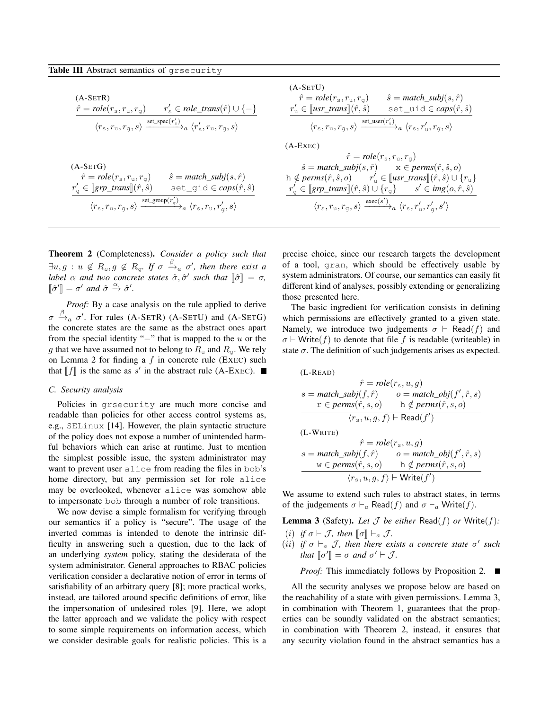$$
(A-SETR)
$$
\n
$$
\hat{r} = role(r_s, r_u, r_g)
$$
\n
$$
\hat{r} = role(r_s, r_u, r_g)
$$
\n
$$
\hat{r}_{\text{S}} = role(r_s, r_u, r_g, s)
$$
\n
$$
\langle r_s, r_u, r_g, s \rangle \xrightarrow{\text{set\_spec}(r'_s)} a \langle r'_s, r_u, r_g, s \rangle
$$
\n
$$
(A-BETG)
$$
\n
$$
\hat{r} = role(r_s, r_u, r_g, s)
$$
\n
$$
\langle r_s, r_u, r_g, s \rangle \xrightarrow{\text{set\_spec}(r'_s)} a \langle r'_s, r_u, r_g, s \rangle
$$
\n
$$
\langle A-BXEC
$$
\n
$$
\hat{r} = role(r_s, r_u, r_g)
$$
\n
$$
\hat{r} = role(r_s, r_u, r_g)
$$
\n
$$
\hat{r} = role(r_s, r_u, r_g)
$$
\n
$$
\hat{r} = role(r_s, r_u, r_g)
$$
\n
$$
\hat{r} = rule(r_s, r_u, r_g)
$$
\n
$$
\hat{r} = rule(r_s, r_u, r_g)
$$
\n
$$
\hat{r} = rule(r_s, r_u, r_g)
$$
\n
$$
\hat{r} = rule(r_s, r_u, r_g)
$$
\n
$$
\hat{r} = rule(r_s, r_u, r_g)
$$
\n
$$
\langle r_s, r_u, r_g, s \rangle \xrightarrow{\text{set\_grid}} \in caps(\hat{r}, \hat{s})
$$
\n
$$
\langle r_s, r_u, r_g, s \rangle \xrightarrow{\text{set\_group}(r'_g)} a \langle r_s, r_u, r'_g, s \rangle
$$
\n
$$
\langle r_s, r_u, r_g, s \rangle \xrightarrow{\text{set\_group}(r'_g)} a \langle r_s, r_u, r'_g, s \rangle
$$
\n
$$
\langle r_s, r_u, r_g, s \rangle \xrightarrow{\text{set\_group}(r'_g)} a \langle r_s, r_u, r'_g, s \rangle
$$
\n
$$
\langle r_s, r_u, r_g, s \rangle \xrightarrow{\text{set\_group}(r'_g)} a \langle r_s, r_u, r'_g, s \rangle
$$
\n
$$
\langle r_s, r_u, r_g, s \rangle \xrightarrow{\text{set\_group}(r'_g)} a \langle r
$$

Theorem 2 (Completeness). *Consider a policy such that*  $\exists u,g \,:\, u \,\not\in\, R_u, g \,\not\in\, R_g.$  If  $\sigma \,\stackrel{\beta}{\to}_a \,\sigma',$  then there exist a *label*  $\alpha$  *and two concrete states*  $\hat{\sigma}, \hat{\sigma}'$  *such that*  $[\![\hat{\sigma}]\!] = \sigma$ ,  $[\![\hat{\sigma}]\!] = \pi'$  and  $\hat{\sigma} \stackrel{\alpha}{\sim} \hat{\sigma}'$  $[\hat{\sigma}'] = \sigma'$  and  $\hat{\sigma} \xrightarrow{\alpha} \hat{\sigma}'.$ 

*Proof:* By a case analysis on the rule applied to derive  $\sigma \stackrel{\beta}{\rightarrow}_a \sigma'$ . For rules (A-SETR) (A-SETU) and (A-SETG) the concrete states are the same as the abstract ones apart from the special identity " $-$ " that is mapped to the  $u$  or the g that we have assumed not to belong to  $R_u$  and  $R_g$ . We rely on Lemma 2 for finding a  $f$  in concrete rule (EXEC) such that  $[[f]]$  is the same as s' in the abstract rule (A-EXEC).

# *C. Security analysis*

Policies in grsecurity are much more concise and readable than policies for other access control systems as, e.g., SELinux [14]. However, the plain syntactic structure of the policy does not expose a number of unintended harmful behaviors which can arise at runtime. Just to mention the simplest possible issue, the system administrator may want to prevent user alice from reading the files in bob's home directory, but any permission set for role alice may be overlooked, whenever alice was somehow able to impersonate bob through a number of role transitions.

We now devise a simple formalism for verifying through our semantics if a policy is "secure". The usage of the inverted commas is intended to denote the intrinsic difficulty in answering such a question, due to the lack of an underlying *system* policy, stating the desiderata of the system administrator. General approaches to RBAC policies verification consider a declarative notion of error in terms of satisfiability of an arbitrary query [8]; more practical works, instead, are tailored around specific definitions of error, like the impersonation of undesired roles [9]. Here, we adopt the latter approach and we validate the policy with respect to some simple requirements on information access, which we consider desirable goals for realistic policies. This is a precise choice, since our research targets the development of a tool, gran, which should be effectively usable by system administrators. Of course, our semantics can easily fit different kind of analyses, possibly extending or generalizing those presented here.

The basic ingredient for verification consists in defining which permissions are effectively granted to a given state. Namely, we introduce two judgements  $\sigma \vdash \text{Read}(f)$  and  $\sigma \vdash$  Write(f) to denote that file f is readable (writeable) in state  $\sigma$ . The definition of such judgements arises as expected.

$$
\hat{r} = role(r_s, u, g)
$$
\n
$$
\hat{r} = role(r_s, u, g)
$$
\n
$$
s = match\_subj(f, \hat{r})
$$
\n
$$
\hat{r} \in perms(\hat{r}, s, o)
$$
\n
$$
\hat{r} \neq perms(\hat{r}, s, o)
$$
\n
$$
\langle r_s, u, g, f \rangle \vdash Read(f')
$$
\n
$$
\hat{r} = role(r_s, u, g)
$$
\n
$$
s = match\_subj(f, \hat{r})
$$
\n
$$
o = match\_obj(f', \hat{r}, s)
$$
\n
$$
\text{w} \in perms(\hat{r}, s, o)
$$
\n
$$
\langle r_s, u, g, f \rangle \vdash Write(f')
$$

We assume to extend such rules to abstract states, in terms of the judgements  $\sigma \vdash_{a}$  Read(f) and  $\sigma \vdash_{a}$  Write(f).

**Lemma 3** (Safety). Let  $\mathcal J$  be either Read(f) or Write(f):

- (*i*) *if*  $\sigma \vdash \mathcal{J}$ *, then*  $\llbracket \sigma \rrbracket \vdash_a \mathcal{J}$ *.*
- (*ii*) *if*  $\sigma \vdash_a \mathcal{J}$ , then there exists a concrete state  $\sigma'$  such *that*  $[\![\sigma']\!] = \sigma$  *and*  $\sigma' \vdash \mathcal{J}$ *.*

*Proof:* This immediately follows by Proposition 2. Г

All the security analyses we propose below are based on the reachability of a state with given permissions. Lemma 3, in combination with Theorem 1, guarantees that the properties can be soundly validated on the abstract semantics; in combination with Theorem 2, instead, it ensures that any security violation found in the abstract semantics has a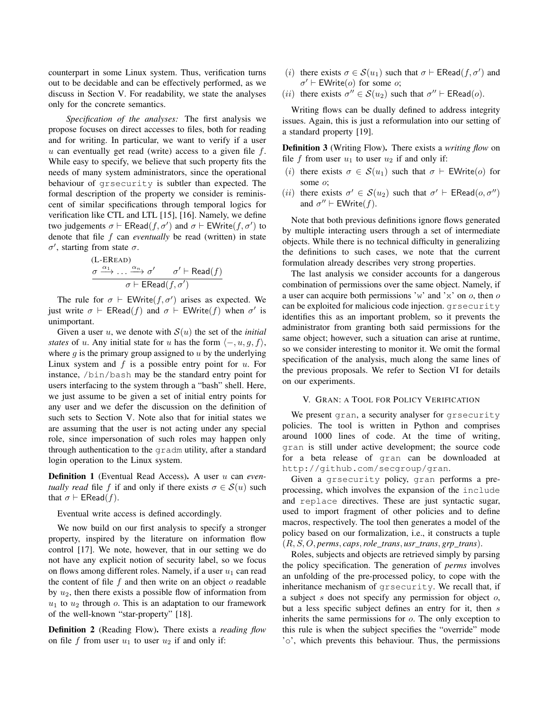counterpart in some Linux system. Thus, verification turns out to be decidable and can be effectively performed, as we discuss in Section V. For readability, we state the analyses only for the concrete semantics.

*Specification of the analyses:* The first analysis we propose focuses on direct accesses to files, both for reading and for writing. In particular, we want to verify if a user u can eventually get read (write) access to a given file  $f$ . While easy to specify, we believe that such property fits the needs of many system administrators, since the operational behaviour of grsecurity is subtler than expected. The formal description of the property we consider is reminiscent of similar specifications through temporal logics for verification like CTL and LTL [15], [16]. Namely, we define two judgements  $\sigma \vdash \mathsf{ERead}(f, \sigma')$  and  $\sigma \vdash \mathsf{EWrite}(f, \sigma')$  to denote that file f can *eventually* be read (written) in state  $\sigma'$ , starting from state  $\sigma$ .

$$
\underbrace{\sigma \xrightarrow{\alpha_1} \dots \xrightarrow{\alpha_n} \sigma'}_{\sigma \vdash \text{ERead}(f, \sigma')} \sigma' \vdash \text{Read}(f)
$$

The rule for  $\sigma \vdash \text{EWrite}(f, \sigma')$  arises as expected. We just write  $\sigma \vdash \mathsf{ERead}(f)$  and  $\sigma \vdash \mathsf{EWrite}(f)$  when  $\sigma'$  is unimportant.

Given a user  $u$ , we denote with  $S(u)$  the set of the *initial states* of u. Any initial state for u has the form  $\langle -, u, q, f \rangle$ , where  $g$  is the primary group assigned to  $u$  by the underlying Linux system and  $f$  is a possible entry point for  $u$ . For instance, /bin/bash may be the standard entry point for users interfacing to the system through a "bash" shell. Here, we just assume to be given a set of initial entry points for any user and we defer the discussion on the definition of such sets to Section V. Note also that for initial states we are assuming that the user is not acting under any special role, since impersonation of such roles may happen only through authentication to the gradm utility, after a standard login operation to the Linux system.

Definition 1 (Eventual Read Access). A user u can *eventually read* file f if and only if there exists  $\sigma \in S(u)$  such that  $\sigma \vdash \mathsf{ERead}(f)$ .

Eventual write access is defined accordingly.

We now build on our first analysis to specify a stronger property, inspired by the literature on information flow control [17]. We note, however, that in our setting we do not have any explicit notion of security label, so we focus on flows among different roles. Namely, if a user  $u_1$  can read the content of file  $f$  and then write on an object  $o$  readable by  $u_2$ , then there exists a possible flow of information from  $u_1$  to  $u_2$  through o. This is an adaptation to our framework of the well-known "star-property" [18].

Definition 2 (Reading Flow). There exists a *reading flow* on file f from user  $u_1$  to user  $u_2$  if and only if:

- (*i*) there exists  $\sigma \in \mathcal{S}(u_1)$  such that  $\sigma \vdash \textsf{ERead}(f, \sigma')$  and  $\sigma' \vdash$  EWrite(*o*) for some *o*;
- (*ii*) there exists  $\sigma'' \in \mathcal{S}(u_2)$  such that  $\sigma'' \vdash \text{ERead}(o)$ .

Writing flows can be dually defined to address integrity issues. Again, this is just a reformulation into our setting of a standard property [19].

Definition 3 (Writing Flow). There exists a *writing flow* on file f from user  $u_1$  to user  $u_2$  if and only if:

- (i) there exists  $\sigma \in \mathcal{S}(u_1)$  such that  $\sigma \vdash \text{EWrite}(o)$  for some o;
- (*ii*) there exists  $\sigma' \in \mathcal{S}(u_2)$  such that  $\sigma' \vdash \textsf{ERead}(o, \sigma'')$ and  $\sigma'' \vdash \textsf{EWrite}(f)$ .

Note that both previous definitions ignore flows generated by multiple interacting users through a set of intermediate objects. While there is no technical difficulty in generalizing the definitions to such cases, we note that the current formulation already describes very strong properties.

The last analysis we consider accounts for a dangerous combination of permissions over the same object. Namely, if a user can acquire both permissions 'w' and 'x' on  $o$ , then  $o$ can be exploited for malicious code injection. grsecurity identifies this as an important problem, so it prevents the administrator from granting both said permissions for the same object; however, such a situation can arise at runtime, so we consider interesting to monitor it. We omit the formal specification of the analysis, much along the same lines of the previous proposals. We refer to Section VI for details on our experiments.

### V. GRAN: A TOOL FOR POLICY VERIFICATION

We present gran, a security analyser for grsecurity policies. The tool is written in Python and comprises around 1000 lines of code. At the time of writing, gran is still under active development; the source code for a beta release of gran can be downloaded at http://github.com/secgroup/gran.

Given a grsecurity policy, gran performs a preprocessing, which involves the expansion of the include and replace directives. These are just syntactic sugar, used to import fragment of other policies and to define macros, respectively. The tool then generates a model of the policy based on our formalization, i.e., it constructs a tuple (R, S, O, *perms*, *caps*,*role\_trans*, *usr\_trans*, *grp\_trans*).

Roles, subjects and objects are retrieved simply by parsing the policy specification. The generation of *perms* involves an unfolding of the pre-processed policy, to cope with the inheritance mechanism of grsecurity. We recall that, if a subject s does not specify any permission for object  $o$ , but a less specific subject defines an entry for it, then s inherits the same permissions for o. The only exception to this rule is when the subject specifies the "override" mode 'o', which prevents this behaviour. Thus, the permissions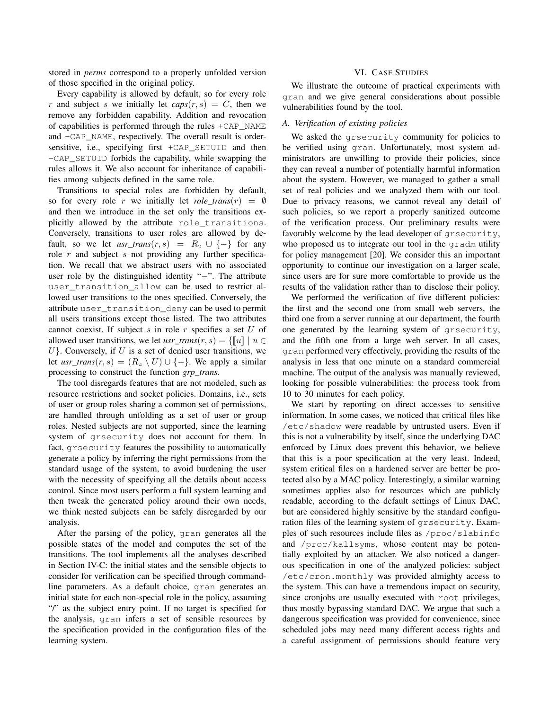stored in *perms* correspond to a properly unfolded version of those specified in the original policy.

Every capability is allowed by default, so for every role r and subject s we initially let  $caps(r, s) = C$ , then we remove any forbidden capability. Addition and revocation of capabilities is performed through the rules +CAP\_NAME and -CAP\_NAME, respectively. The overall result is ordersensitive, i.e., specifying first +CAP\_SETUID and then -CAP\_SETUID forbids the capability, while swapping the rules allows it. We also account for inheritance of capabilities among subjects defined in the same role.

Transitions to special roles are forbidden by default, so for every role r we initially let *role* trans $(r) = \emptyset$ and then we introduce in the set only the transitions explicitly allowed by the attribute role\_transitions. Conversely, transitions to user roles are allowed by default, so we let  $usr\_trans(r, s) = R_u \cup \{-\}$  for any role  $r$  and subject  $s$  not providing any further specification. We recall that we abstract users with no associated user role by the distinguished identity "−". The attribute user\_transition\_allow can be used to restrict allowed user transitions to the ones specified. Conversely, the attribute user\_transition\_deny can be used to permit all users transitions except those listed. The two attributes cannot coexist. If subject  $s$  in role  $r$  specifies a set  $U$  of allowed user transitions, we let  $usr\_trans(r, s) = \{\llbracket u \rrbracket \mid u \in$  $U$ . Conversely, if U is a set of denied user transitions, we let  $usr\_trans(r, s) = (R_u \setminus U) \cup \{-\}$ . We apply a similar processing to construct the function *grp\_trans*.

The tool disregards features that are not modeled, such as resource restrictions and socket policies. Domains, i.e., sets of user or group roles sharing a common set of permissions, are handled through unfolding as a set of user or group roles. Nested subjects are not supported, since the learning system of grsecurity does not account for them. In fact, grsecurity features the possibility to automatically generate a policy by inferring the right permissions from the standard usage of the system, to avoid burdening the user with the necessity of specifying all the details about access control. Since most users perform a full system learning and then tweak the generated policy around their own needs, we think nested subjects can be safely disregarded by our analysis.

After the parsing of the policy, gran generates all the possible states of the model and computes the set of the transitions. The tool implements all the analyses described in Section IV-C: the initial states and the sensible objects to consider for verification can be specified through commandline parameters. As a default choice, gran generates an initial state for each non-special role in the policy, assuming "/" as the subject entry point. If no target is specified for the analysis, gran infers a set of sensible resources by the specification provided in the configuration files of the learning system.

## VI. CASE STUDIES

We illustrate the outcome of practical experiments with gran and we give general considerations about possible vulnerabilities found by the tool.

# *A. Verification of existing policies*

We asked the grsecurity community for policies to be verified using gran. Unfortunately, most system administrators are unwilling to provide their policies, since they can reveal a number of potentially harmful information about the system. However, we managed to gather a small set of real policies and we analyzed them with our tool. Due to privacy reasons, we cannot reveal any detail of such policies, so we report a properly sanitized outcome of the verification process. Our preliminary results were favorably welcome by the lead developer of grsecurity, who proposed us to integrate our tool in the gradm utility for policy management [20]. We consider this an important opportunity to continue our investigation on a larger scale, since users are for sure more comfortable to provide us the results of the validation rather than to disclose their policy.

We performed the verification of five different policies: the first and the second one from small web servers, the third one from a server running at our department, the fourth one generated by the learning system of grsecurity, and the fifth one from a large web server. In all cases, gran performed very effectively, providing the results of the analysis in less that one minute on a standard commercial machine. The output of the analysis was manually reviewed, looking for possible vulnerabilities: the process took from 10 to 30 minutes for each policy.

We start by reporting on direct accesses to sensitive information. In some cases, we noticed that critical files like /etc/shadow were readable by untrusted users. Even if this is not a vulnerability by itself, since the underlying DAC enforced by Linux does prevent this behavior, we believe that this is a poor specification at the very least. Indeed, system critical files on a hardened server are better be protected also by a MAC policy. Interestingly, a similar warning sometimes applies also for resources which are publicly readable, according to the default settings of Linux DAC, but are considered highly sensitive by the standard configuration files of the learning system of grsecurity. Examples of such resources include files as /proc/slabinfo and /proc/kallsyms, whose content may be potentially exploited by an attacker. We also noticed a dangerous specification in one of the analyzed policies: subject /etc/cron.monthly was provided almighty access to the system. This can have a tremendous impact on security, since cronjobs are usually executed with root privileges, thus mostly bypassing standard DAC. We argue that such a dangerous specification was provided for convenience, since scheduled jobs may need many different access rights and a careful assignment of permissions should feature very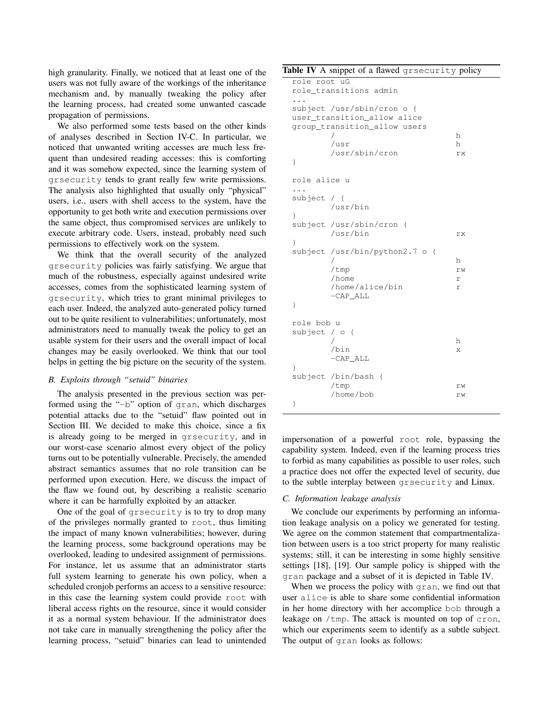high granularity. Finally, we noticed that at least one of the users was not fully aware of the workings of the inheritance mechanism and, by manually tweaking the policy after the learning process, had created some unwanted cascade propagation of permissions.

We also performed some tests based on the other kinds of analyses described in Section IV-C. In particular, we noticed that unwanted writing accesses are much less frequent than undesired reading accesses: this is comforting and it was somehow expected, since the learning system of grsecurity tends to grant really few write permissions. The analysis also highlighted that usually only "physical" users, i.e., users with shell access to the system, have the opportunity to get both write and execution permissions over the same object, thus compromised services are unlikely to execute arbitrary code. Users, instead, probably need such permissions to effectively work on the system.

We think that the overall security of the analyzed grsecurity policies was fairly satisfying. We argue that much of the robustness, especially against undesired write accesses, comes from the sophisticated learning system of grsecurity, which tries to grant minimal privileges to each user. Indeed, the analyzed auto-generated policy turned out to be quite resilient to vulnerabilities; unfortunately, most administrators need to manually tweak the policy to get an usable system for their users and the overall impact of local changes may be easily overlooked. We think that our tool helps in getting the big picture on the security of the system.

## *B. Exploits through "setuid" binaries*

The analysis presented in the previous section was performed using the "-b" option of gran, which discharges potential attacks due to the "setuid" flaw pointed out in Section III. We decided to make this choice, since a fix is already going to be merged in grsecurity, and in our worst-case scenario almost every object of the policy turns out to be potentially vulnerable. Precisely, the amended abstract semantics assumes that no role transition can be performed upon execution. Here, we discuss the impact of the flaw we found out, by describing a realistic scenario where it can be harmfully exploited by an attacker.

One of the goal of grsecurity is to try to drop many of the privileges normally granted to root, thus limiting the impact of many known vulnerabilities; however, during the learning process, some background operations may be overlooked, leading to undesired assignment of permissions. For instance, let us assume that an administrator starts full system learning to generate his own policy, when a scheduled cronjob performs an access to a sensitive resource: in this case the learning system could provide root with liberal access rights on the resource, since it would consider it as a normal system behaviour. If the administrator does not take care in manually strengthening the policy after the learning process, "setuid" binaries can lead to unintended

|  |  |  |  |  |  | Table IV A snippet of a flawed grsecurity policy |  |
|--|--|--|--|--|--|--------------------------------------------------|--|
|--|--|--|--|--|--|--------------------------------------------------|--|

|                              | . .                            |        |  |  |  |  |  |  |
|------------------------------|--------------------------------|--------|--|--|--|--|--|--|
| role root uG                 |                                |        |  |  |  |  |  |  |
|                              | role_transitions admin         |        |  |  |  |  |  |  |
|                              | subject /usr/sbin/cron o {     |        |  |  |  |  |  |  |
|                              | user_transition_allow alice    |        |  |  |  |  |  |  |
| group_transition_allow users |                                |        |  |  |  |  |  |  |
|                              | $\sqrt{2}$                     | h      |  |  |  |  |  |  |
|                              | /usr                           | h      |  |  |  |  |  |  |
|                              | /usr/sbin/cron                 | rx     |  |  |  |  |  |  |
| $\}$                         |                                |        |  |  |  |  |  |  |
| role alice u                 |                                |        |  |  |  |  |  |  |
|                              |                                |        |  |  |  |  |  |  |
| subject / $\{$               | /usr/bin                       |        |  |  |  |  |  |  |
| $\}$                         |                                |        |  |  |  |  |  |  |
|                              | subject /usr/sbin/cron {       |        |  |  |  |  |  |  |
|                              | /usr/bin                       | rx     |  |  |  |  |  |  |
| $\mathcal{E}$                |                                |        |  |  |  |  |  |  |
|                              | subject /usr/bin/python2.7 o { |        |  |  |  |  |  |  |
|                              | $\sqrt{2}$                     | h      |  |  |  |  |  |  |
|                              | /tmp<br>/home                  | rw     |  |  |  |  |  |  |
|                              | /home/alice/bin                | r<br>r |  |  |  |  |  |  |
|                              | $-CAP$ $ALL$                   |        |  |  |  |  |  |  |
| $\}$                         |                                |        |  |  |  |  |  |  |
|                              |                                |        |  |  |  |  |  |  |
| role bob u<br>subject / o {  |                                |        |  |  |  |  |  |  |
|                              | $\sqrt{2}$                     | h      |  |  |  |  |  |  |
|                              | /bin                           | Χ      |  |  |  |  |  |  |
|                              | $-CAP$ $ALL$                   |        |  |  |  |  |  |  |
| $\}$                         |                                |        |  |  |  |  |  |  |
|                              | subject /bin/bash {            |        |  |  |  |  |  |  |
|                              | /tmp                           | rw     |  |  |  |  |  |  |
|                              | /home/bob                      | rw     |  |  |  |  |  |  |
| $\}$                         |                                |        |  |  |  |  |  |  |

impersonation of a powerful root role, bypassing the capability system. Indeed, even if the learning process tries to forbid as many capabilities as possible to user roles, such a practice does not offer the expected level of security, due to the subtle interplay between grsecurity and Linux.

## *C. Information leakage analysis*

We conclude our experiments by performing an information leakage analysis on a policy we generated for testing. We agree on the common statement that compartmentalization between users is a too strict property for many realistic systems; still, it can be interesting in some highly sensitive settings [18], [19]. Our sample policy is shipped with the gran package and a subset of it is depicted in Table IV.

When we process the policy with gran, we find out that user alice is able to share some confidential information in her home directory with her accomplice bob through a leakage on /tmp. The attack is mounted on top of cron, which our experiments seem to identify as a subtle subject. The output of gran looks as follows: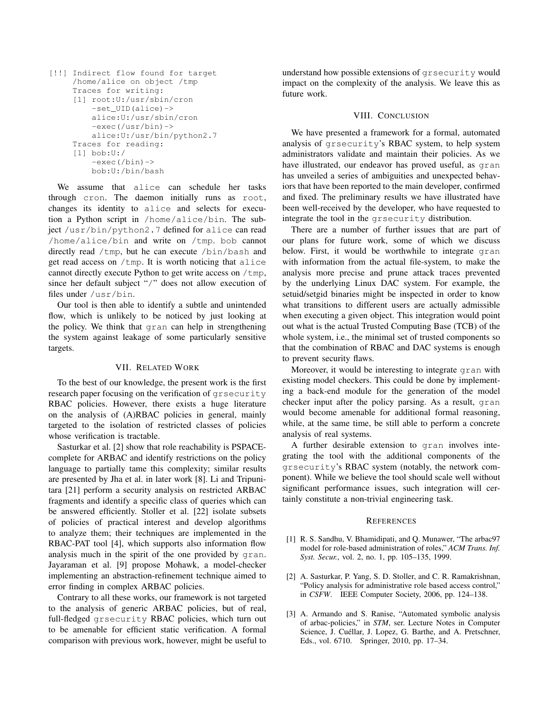```
[!!] Indirect flow found for target
     /home/alice on object /tmp
    Traces for writing:
     [1] root:U:/usr/sbin/cron
         -set_UID(alice)->
         alice:U:/usr/sbin/cron
         -exec(/usr/bin)->
        alice:U:/usr/bin/python2.7
    Traces for reading:
     [1] bob:U:/
         -exec(/bin)->
        bob:U:/bin/bash
```
We assume that alice can schedule her tasks through cron. The daemon initially runs as root, changes its identity to alice and selects for execution a Python script in /home/alice/bin. The subject /usr/bin/python2.7 defined for alice can read /home/alice/bin and write on /tmp. bob cannot directly read /tmp, but he can execute /bin/bash and get read access on /tmp. It is worth noticing that alice cannot directly execute Python to get write access on /tmp, since her default subject "/" does not allow execution of files under /usr/bin.

Our tool is then able to identify a subtle and unintended flow, which is unlikely to be noticed by just looking at the policy. We think that gran can help in strengthening the system against leakage of some particularly sensitive targets.

### VII. RELATED WORK

To the best of our knowledge, the present work is the first research paper focusing on the verification of grsecurity RBAC policies. However, there exists a huge literature on the analysis of (A)RBAC policies in general, mainly targeted to the isolation of restricted classes of policies whose verification is tractable.

Sasturkar et al. [2] show that role reachability is PSPACEcomplete for ARBAC and identify restrictions on the policy language to partially tame this complexity; similar results are presented by Jha et al. in later work [8]. Li and Tripunitara [21] perform a security analysis on restricted ARBAC fragments and identify a specific class of queries which can be answered efficiently. Stoller et al. [22] isolate subsets of policies of practical interest and develop algorithms to analyze them; their techniques are implemented in the RBAC-PAT tool [4], which supports also information flow analysis much in the spirit of the one provided by gran. Jayaraman et al. [9] propose Mohawk, a model-checker implementing an abstraction-refinement technique aimed to error finding in complex ARBAC policies.

Contrary to all these works, our framework is not targeted to the analysis of generic ARBAC policies, but of real, full-fledged grsecurity RBAC policies, which turn out to be amenable for efficient static verification. A formal comparison with previous work, however, might be useful to understand how possible extensions of grsecurity would impact on the complexity of the analysis. We leave this as future work.

## VIII. CONCLUSION

We have presented a framework for a formal, automated analysis of grsecurity's RBAC system, to help system administrators validate and maintain their policies. As we have illustrated, our endeavor has proved useful, as gran has unveiled a series of ambiguities and unexpected behaviors that have been reported to the main developer, confirmed and fixed. The preliminary results we have illustrated have been well-received by the developer, who have requested to integrate the tool in the grsecurity distribution.

There are a number of further issues that are part of our plans for future work, some of which we discuss below. First, it would be worthwhile to integrate gran with information from the actual file-system, to make the analysis more precise and prune attack traces prevented by the underlying Linux DAC system. For example, the setuid/setgid binaries might be inspected in order to know what transitions to different users are actually admissible when executing a given object. This integration would point out what is the actual Trusted Computing Base (TCB) of the whole system, i.e., the minimal set of trusted components so that the combination of RBAC and DAC systems is enough to prevent security flaws.

Moreover, it would be interesting to integrate gran with existing model checkers. This could be done by implementing a back-end module for the generation of the model checker input after the policy parsing. As a result, gran would become amenable for additional formal reasoning, while, at the same time, be still able to perform a concrete analysis of real systems.

A further desirable extension to gran involves integrating the tool with the additional components of the grsecurity's RBAC system (notably, the network component). While we believe the tool should scale well without significant performance issues, such integration will certainly constitute a non-trivial engineering task.

#### **REFERENCES**

- [1] R. S. Sandhu, V. Bhamidipati, and Q. Munawer, "The arbac97 model for role-based administration of roles," *ACM Trans. Inf. Syst. Secur.*, vol. 2, no. 1, pp. 105–135, 1999.
- [2] A. Sasturkar, P. Yang, S. D. Stoller, and C. R. Ramakrishnan, "Policy analysis for administrative role based access control," in *CSFW*. IEEE Computer Society, 2006, pp. 124–138.
- [3] A. Armando and S. Ranise, "Automated symbolic analysis of arbac-policies," in *STM*, ser. Lecture Notes in Computer Science, J. Cuéllar, J. Lopez, G. Barthe, and A. Pretschner, Eds., vol. 6710. Springer, 2010, pp. 17–34.